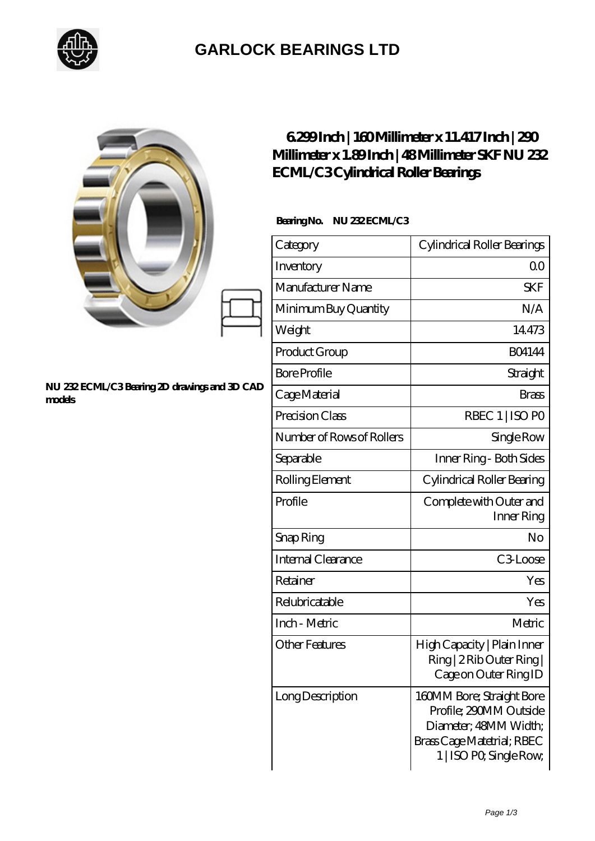

## **[GARLOCK BEARINGS LTD](https://m.letterstopriests.com)**

|                                                         | <b>ECML/C3Cylindrical Roller Bearings</b> | 6299Inch   160Millimeter x 11.417Inch   290<br>Millimeter x 1.89Inch   48Millimeter SKF NU 232                                        |
|---------------------------------------------------------|-------------------------------------------|---------------------------------------------------------------------------------------------------------------------------------------|
|                                                         | BearingNo.<br>NU 232ECML/C3               |                                                                                                                                       |
|                                                         | Category                                  | Cylindrical Roller Bearings                                                                                                           |
|                                                         | Inventory                                 | 0 <sup>0</sup>                                                                                                                        |
|                                                         | Manufacturer Name                         | <b>SKF</b>                                                                                                                            |
|                                                         | Minimum Buy Quantity                      | N/A                                                                                                                                   |
|                                                         | Weight                                    | 14473                                                                                                                                 |
| NU 232 ECML/C3 Bearing 2D drawings and 3D CAD<br>models | Product Group                             | <b>BO4144</b>                                                                                                                         |
|                                                         | <b>Bore Profile</b>                       | Straight                                                                                                                              |
|                                                         | Cage Material                             | <b>Brass</b>                                                                                                                          |
|                                                         | Precision Class                           | RBEC 1   ISO PO                                                                                                                       |
|                                                         | Number of Rows of Rollers                 | Single Row                                                                                                                            |
|                                                         | Separable                                 | Inner Ring - Both Sides                                                                                                               |
|                                                         | Rolling Element                           | Cylindrical Roller Bearing                                                                                                            |
|                                                         | Profile                                   | Complete with Outer and<br>Inner Ring                                                                                                 |
|                                                         | Snap Ring                                 | No                                                                                                                                    |
|                                                         | Internal Clearance                        | C3Loose                                                                                                                               |
|                                                         | Retainer                                  | Yes                                                                                                                                   |
|                                                         | Relubricatable                            | Yes                                                                                                                                   |
|                                                         | Inch - Metric                             | Metric                                                                                                                                |
|                                                         | <b>Other Features</b>                     | High Capacity   Plain Inner<br>Ring   2 Rib Outer Ring  <br>Cage on Outer Ring ID                                                     |
|                                                         | Long Description                          | 160MM Bore; Straight Bore<br>Profile; 290MM Outside<br>Diameter; 48MM Width;<br>Brass Cage Matetrial; RBEC<br>1   ISO PO, Single Row, |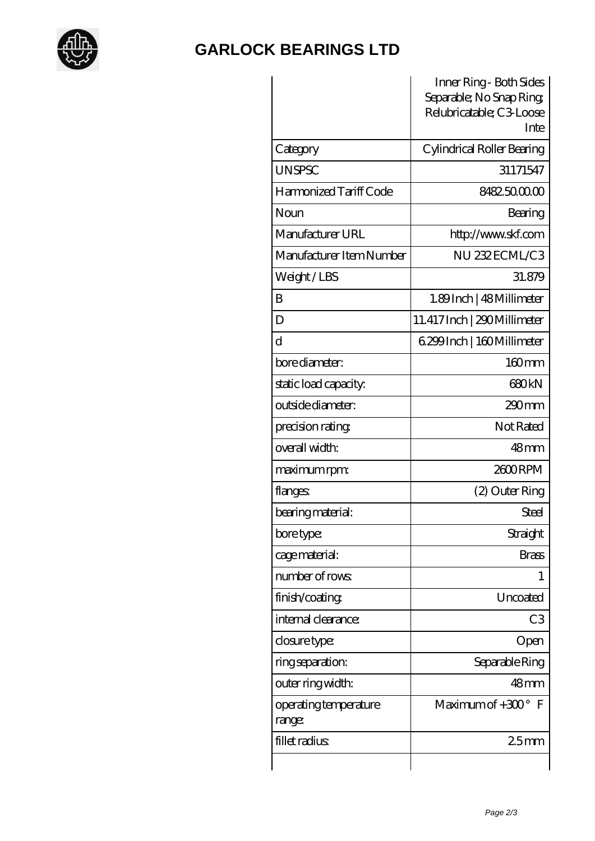

## **[GARLOCK BEARINGS LTD](https://m.letterstopriests.com)**

|                                 | Inner Ring - Both Sides<br>Separable; No Snap Ring<br>Relubricatable; C3 Loose<br>Inte |
|---------------------------------|----------------------------------------------------------------------------------------|
| Category                        | Cylindrical Roller Bearing                                                             |
| <b>UNSPSC</b>                   | 31171547                                                                               |
| Harmonized Tariff Code          | 8482500000                                                                             |
| Noun                            | Bearing                                                                                |
| Manufacturer URL                | http://www.skf.com                                                                     |
| Manufacturer Item Number        | NU 232 ECML/C3                                                                         |
| Weight/LBS                      | 31.879                                                                                 |
| B                               | 1.89Inch   48 Millimeter                                                               |
| D                               | 11.417 Inch   290 Millimeter                                                           |
| d                               | 6.299 Inch   160 Millimeter                                                            |
| bore diameter:                  | $160$ <sub>mm</sub>                                                                    |
| static load capacity.           | 680 <sub>kN</sub>                                                                      |
| outside diameter:               | 290mm                                                                                  |
| precision rating                | Not Rated                                                                              |
| overall width:                  | 48 <sub>mm</sub>                                                                       |
| maximum rpm:                    | 2600RPM                                                                                |
| flanges:                        | (2) Outer Ring                                                                         |
| bearing material:               | Steel                                                                                  |
| bore type:                      | Straight                                                                               |
| cage material:                  | <b>Brass</b>                                                                           |
| number of rows                  | 1                                                                                      |
| finish/coating                  | Uncoated                                                                               |
| internal clearance:             | C <sub>3</sub>                                                                         |
| closure type:                   | Open                                                                                   |
| ring separation:                | Separable Ring                                                                         |
| outer ring width:               | $48$ mm                                                                                |
| operating temperature<br>range: | Maximum of $+300^\circ$<br>$\mathbf F$                                                 |
| fillet radius                   | 25mm                                                                                   |
|                                 |                                                                                        |